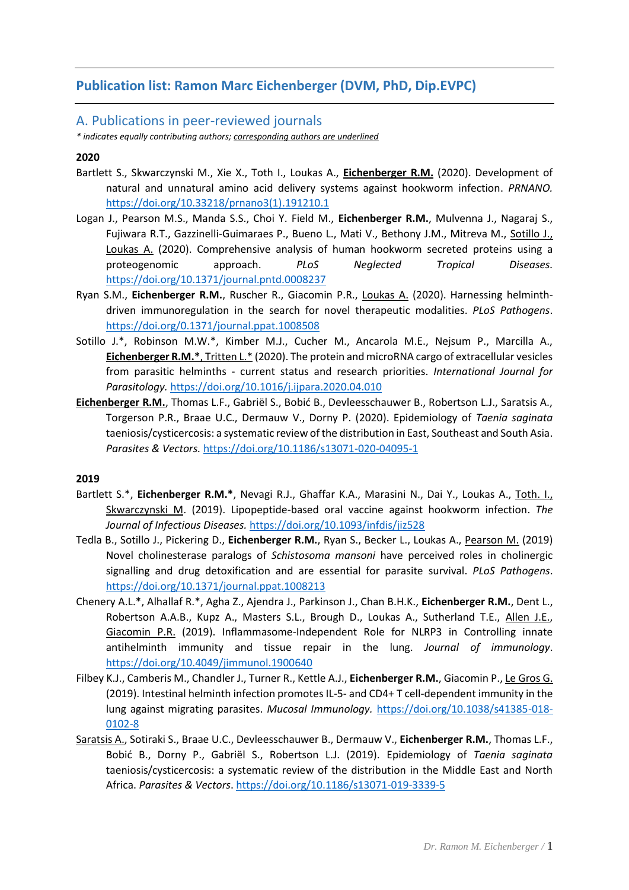# **Publication list: Ramon Marc Eichenberger (DVM, PhD, Dip.EVPC)**

# A. Publications in peer-reviewed journals

*\* indicates equally contributing authors; corresponding authors are underlined*

# **2020**

- Bartlett S., Skwarczynski M., Xie X., Toth I., Loukas A., **Eichenberger R.M.** (2020). Development of natural and unnatural amino acid delivery systems against hookworm infection. *PRNANO.* [https://doi.org/10.33218/prnano3\(1\).191210.1](https://doi.org/10.33218/prnano3(1).191210.1)
- Logan J., Pearson M.S., Manda S.S., Choi Y. Field M., **Eichenberger R.M.**, Mulvenna J., Nagaraj S., Fujiwara R.T., Gazzinelli-Guimaraes P., Bueno L., Mati V., Bethony J.M., Mitreva M., Sotillo J., Loukas A. (2020). Comprehensive analysis of human hookworm secreted proteins using a proteogenomic approach. *PLoS Neglected Tropical Diseases.*  <https://doi.org/10.1371/journal.pntd.0008237>
- Ryan S.M., **Eichenberger R.M.**, Ruscher R., Giacomin P.R., Loukas A. (2020). Harnessing helminthdriven immunoregulation in the search for novel therapeutic modalities. *PLoS Pathogens*. <https://doi.org/0.1371/journal.ppat.1008508>
- Sotillo J.\*, Robinson M.W.\*, Kimber M.J., Cucher M., Ancarola M.E., Nejsum P., Marcilla A., **Eichenberger R.M.\***, Tritten L.\* (2020). The protein and microRNA cargo of extracellular vesicles from parasitic helminths - current status and research priorities. *International Journal for Parasitology.* <https://doi.org/10.1016/j.ijpara.2020.04.010>
- **Eichenberger R.M.**, Thomas L.F., Gabriël S., Bobić B., Devleesschauwer B., Robertson L.J., Saratsis A., Torgerson P.R., Braae U.C., Dermauw V., Dorny P. (2020). Epidemiology of *Taenia saginata* taeniosis/cysticercosis: a systematic review of the distribution in East, Southeast and South Asia. *Parasites & Vectors.* <https://doi.org/10.1186/s13071-020-04095-1>

## **2019**

- Bartlett S.\*, **Eichenberger R.M.\***, Nevagi R.J., Ghaffar K.A., Marasini N., Dai Y., Loukas A., Toth. I., Skwarczynski M. (2019). Lipopeptide-based oral vaccine against hookworm infection. *The Journal of Infectious Diseases.* <https://doi.org/10.1093/infdis/jiz528>
- Tedla B., Sotillo J., Pickering D., **Eichenberger R.M.**, Ryan S., Becker L., Loukas A., Pearson M. (2019) Novel cholinesterase paralogs of *Schistosoma mansoni* have perceived roles in cholinergic signalling and drug detoxification and are essential for parasite survival. *PLoS Pathogens*. <https://doi.org/10.1371/journal.ppat.1008213>
- Chenery A.L.\*, Alhallaf R.\*, Agha Z., Ajendra J., Parkinson J., Chan B.H.K., **Eichenberger R.M.**, Dent L., Robertson A.A.B., Kupz A., Masters S.L., Brough D., Loukas A., Sutherland T.E., Allen J.E., Giacomin P.R. (2019). Inflammasome-Independent Role for NLRP3 in Controlling innate antihelminth immunity and tissue repair in the lung. *Journal of immunology*. <https://doi.org/10.4049/jimmunol.1900640>
- Filbey K.J., Camberis M., Chandler J., Turner R., Kettle A.J., **Eichenberger R.M.**, Giacomin P., Le Gros G. (2019). Intestinal helminth infection promotes IL-5- and CD4+ T cell-dependent immunity in the lung against migrating parasites. *Mucosal Immunology.* [https://doi.org/10.1038/s41385-018-](https://doi.org/10.1038/s41385-018-0102-8) [0102-8](https://doi.org/10.1038/s41385-018-0102-8)
- Saratsis A., Sotiraki S., Braae U.C., Devleesschauwer B., Dermauw V., **Eichenberger R.M.**, Thomas L.F., Bobić B., Dorny P., Gabriël S., Robertson L.J. (2019). Epidemiology of *Taenia saginata* taeniosis/cysticercosis: a systematic review of the distribution in the Middle East and North Africa. *Parasites & Vectors*[. https://doi.org/10.1186/s13071-019-3339-5](https://doi.org/10.1186/s13071-019-3339-5)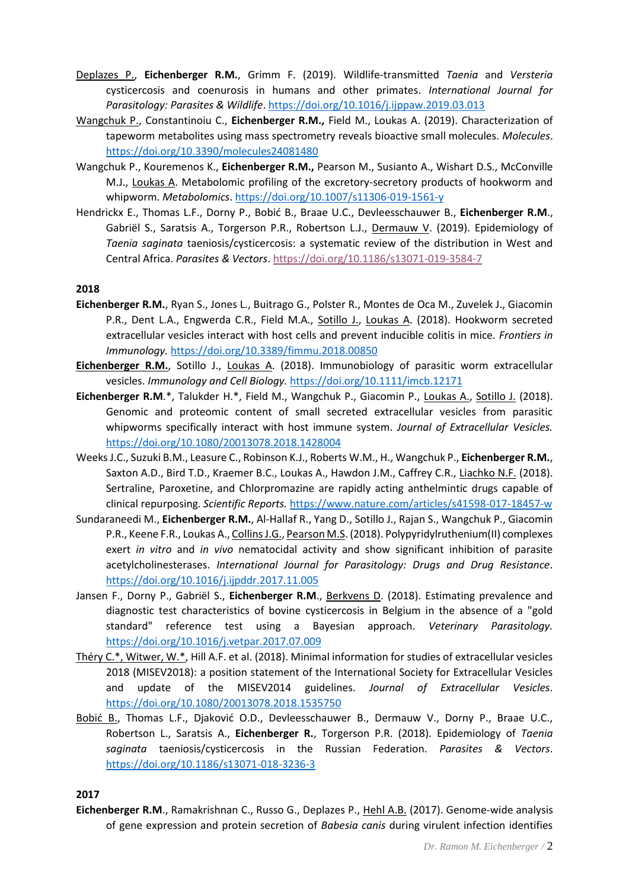- Deplazes P., **Eichenberger R.M.**, Grimm F. (2019). Wildlife-transmitted *Taenia* and *Versteria* cysticercosis and coenurosis in humans and other primates. *International Journal for Parasitology: Parasites & Wildlife*. <https://doi.org/10.1016/j.ijppaw.2019.03.013>
- Wangchuk P., Constantinoiu C., **Eichenberger R.M.,** Field M., Loukas A. (2019). Characterization of tapeworm metabolites using mass spectrometry reveals bioactive small molecules. *Molecules*. <https://doi.org/10.3390/molecules24081480>
- Wangchuk P., Kouremenos K., **Eichenberger R.M.,** Pearson M., Susianto A., Wishart D.S., McConville M.J., Loukas A. Metabolomic profiling of the excretory-secretory products of hookworm and whipworm. *Metabolomics*. <https://doi.org/10.1007/s11306-019-1561-y>
- Hendrickx E., Thomas L.F., Dorny P., Bobić B., Braae U.C., Devleesschauwer B., **Eichenberger R.M**., Gabriël S., Saratsis A., Torgerson P.R., Robertson L.J., Dermauw V. (2019). Epidemiology of *Taenia saginata* taeniosis/cysticercosis: a systematic review of the distribution in West and Central Africa. *Parasites & Vectors*[. https://doi.org/10.1186/s13071-019-3584-7](https://doi.org/10.1186/s13071-019-3584-7)

### **2018**

- **Eichenberger R.M.**, Ryan S., Jones L., Buitrago G., Polster R., Montes de Oca M., Zuvelek J., Giacomin P.R., Dent L.A., Engwerda C.R., Field M.A., Sotillo J., Loukas A. (2018). Hookworm secreted extracellular vesicles interact with host cells and prevent inducible colitis in mice. *Frontiers in Immunology.* <https://doi.org/10.3389/fimmu.2018.00850>
- **Eichenberger R.M.**, Sotillo J., Loukas A. (2018). Immunobiology of parasitic worm extracellular vesicles. *Immunology and Cell Biology.* <https://doi.org/10.1111/imcb.12171>
- **Eichenberger R.M**.\*, Talukder H.\*, Field M., Wangchuk P., Giacomin P., Loukas A., Sotillo J. (2018). Genomic and proteomic content of small secreted extracellular vesicles from parasitic whipworms specifically interact with host immune system. *Journal of Extracellular Vesicles.*  <https://doi.org/10.1080/20013078.2018.1428004>
- Weeks J.C., Suzuki B.M., Leasure C., Robinson K.J., Roberts W.M., H., Wangchuk P., **Eichenberger R.M.**, Saxton A.D., Bird T.D., Kraemer B.C., Loukas A., Hawdon J.M., Caffrey C.R., Liachko N.F. (2018). Sertraline, Paroxetine, and Chlorpromazine are rapidly acting anthelmintic drugs capable of clinical repurposing. *Scientific Reports.* <https://www.nature.com/articles/s41598-017-18457-w>
- Sundaraneedi M., **Eichenberger R.M.**, Al-Hallaf R., Yang D., Sotillo J., Rajan S., Wangchuk P., Giacomin P.R., Keene F.R., Loukas A., Collins J.G., Pearson M.S. (2018). Polypyridylruthenium(II) complexes exert *in vitro* and *in vivo* nematocidal activity and show significant inhibition of parasite acetylcholinesterases. *International Journal for Parasitology: Drugs and Drug Resistance*. <https://doi.org/10.1016/j.ijpddr.2017.11.005>
- Jansen F., Dorny P., Gabriël S., **Eichenberger R.M**., Berkvens D. (2018). Estimating prevalence and diagnostic test characteristics of bovine cysticercosis in Belgium in the absence of a "gold standard" reference test using a Bayesian approach. *Veterinary Parasitology.*  <https://doi.org/10.1016/j.vetpar.2017.07.009>
- Théry C.\*, Witwer, W.\*, Hill A.F. et al. (2018). Minimal information for studies of extracellular vesicles 2018 (MISEV2018): a position statement of the International Society for Extracellular Vesicles and update of the MISEV2014 guidelines. *Journal of Extracellular Vesicles*. <https://doi.org/10.1080/20013078.2018.1535750>
- Bobić B., Thomas L.F., Djaković O.D., Devleesschauwer B., Dermauw V., Dorny P., Braae U.C., Robertson L., Saratsis A., **Eichenberger R.**, Torgerson P.R. (2018). Epidemiology of *Taenia saginata* taeniosis/cysticercosis in the Russian Federation. *Parasites & Vectors*. <https://doi.org/10.1186/s13071-018-3236-3>

**2017**

**Eichenberger R.M**., Ramakrishnan C., Russo G., Deplazes P., Hehl A.B. (2017). Genome-wide analysis of gene expression and protein secretion of *Babesia canis* during virulent infection identifies